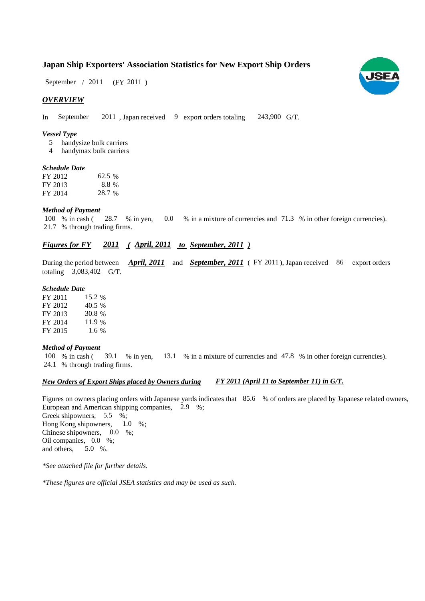# **Japan Ship Exporters' Association Statistics for New Export Ship Orders**

 $(FY 2011)$ September / 2011

### *OVERVIEW*

In September 2011 , Japan received 9 export orders totaling 243,900 G/T.

#### *Vessel Type*

- handysize bulk carriers 5
- handymax bulk carriers 4

#### *Schedule Date*

| FY 2012 | 62.5 % |
|---------|--------|
| FY 2013 | 8.8 %  |
| FY 2014 | 28.7 % |

#### *Method of Payment*

% in cash ( $\frac{28.7}{8}$  in yen, 0.0 % in a mixture of currencies and 71.3 % in other foreign currencies). % through trading firms. 21.7 100 % in cash (28.7 % in yen, 0.0

# *Figures for FY* 2011 (April, 2011 *to September, 2011*)

During the period between *April, 2011* and *September, 2011* (FY 2011), Japan received 86 export orders totaling  $3,083,402$  G/T.

#### *Schedule Date*

FY 2011 FY 2012 FY 2013 FY 2014 FY 2015 1.6 15.2 % 40.5 30.8 11.9

#### *Method of Payment*

% in cash ( $\frac{39.1}{8}$  m yen,  $\frac{13.1}{8}$  m a mixture of currencies and 47.8 % in other foreign currencies). % through trading firms. 24.1 100 % in cash (39.1 % in yen,

#### *New Orders of Export Ships placed by Owners during*

Figures on owners placing orders with Japanese yards indicates that 85.6 % of orders are placed by Japanese related owners, European and American shipping companies, 2.9 %; Greek shipowners, 5.5 %; Hong Kong shipowners,  $1.0\%$ ; Chinese shipowners,  $0.0\%$ ; Oil companies, 0.0 %; and others, 5.0 %. 1.0

*FY 2011 (April 11 to September 11) in G/T.*

*\*See attached file for further details.*

*\*These figures are official JSEA statistics and may be used as such.*

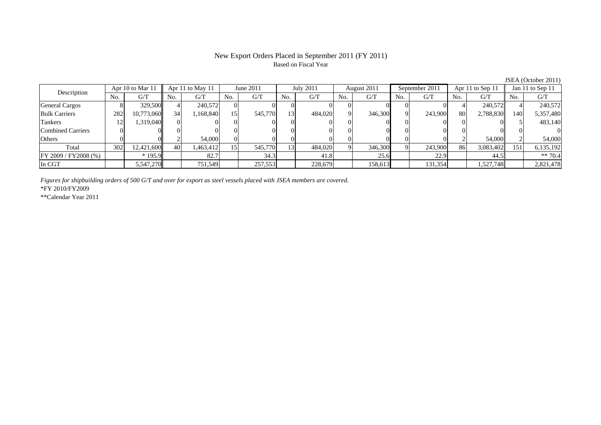# New Export Orders Placed in September 2011 (FY 2011) Based on Fiscal Year

| Description              |     | Apr 10 to Mar 11 |                 | Apr 11 to May 11 |     | June 2011 |     | July 2011 |     | August 2011 |     | September 2011 |     | Apr 11 to Sep 11 |     | Jan 11 to Sep 11 |
|--------------------------|-----|------------------|-----------------|------------------|-----|-----------|-----|-----------|-----|-------------|-----|----------------|-----|------------------|-----|------------------|
|                          | No. | G/T              | No.             | G/T              | No. | G/T       | No. | G/T       | No. | G/T         | No. | G/T            | No. | G/T              | No. | G/T              |
| General Cargos           |     | 329,500          |                 | 240,572          |     |           |     |           |     |             |     |                |     | 240,572          |     | 240,572          |
| <b>Bulk Carriers</b>     | 282 | 10,773,060       | 34 <sub>1</sub> | 1,168,840        | 151 | 545,770   | 13  | 484,020   |     | 346,300     |     | 243,900        | 80  | 2,788,830        | 140 | 5,357,480        |
| Tankers                  | 12  | 1,319,040        |                 |                  |     |           | 01  |           |     |             |     |                |     |                  |     | 483,140          |
| <b>Combined Carriers</b> |     |                  |                 |                  |     |           | 01  |           |     |             |     | OI.            |     |                  |     |                  |
| Others                   |     |                  |                 | 54,000           |     |           |     |           |     |             |     |                |     | 54,000           |     | 54,000           |
| Total                    | 302 | 12,421,600       | 40              | 1,463,412        | .51 | 545,770   | 13  | 484,020   |     | 346,300     |     | 243,900        | 86  | 3,083,402        | 151 | 6,135,192        |
| FY 2009 / FY 2008 (%)    |     | $*195.9$         |                 | 82.7             |     | 34.3      |     | 41.8      |     | 25.6        |     | 22.9           |     | 44.5             |     | $** 70.4$        |
| In CGT                   |     | 5,547,270        |                 | 751,549          |     | 257,553   |     | 228,679   |     | 158,613     |     | 131,354        |     | 1,527,748        |     | 2,821,478        |

*Figures for shipbuilding orders of 500 G/T and over for export as steel vessels placed with JSEA members are covered.*

\*FY 2010/FY2009

\*\*Calendar Year 2011

JSEA (October 2011)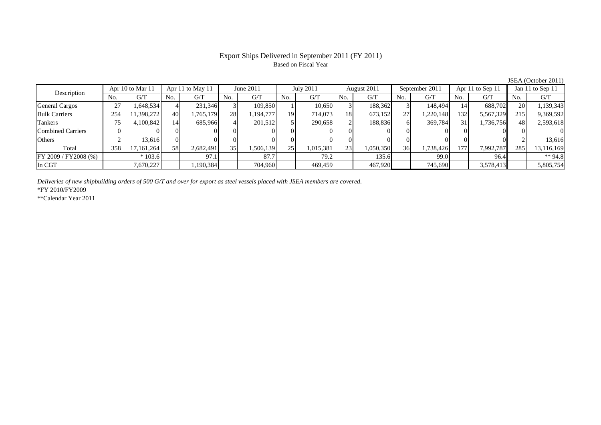### Export Ships Delivered in September 2011 (FY 2011) Based on Fiscal Year

No. G/T No. G/T No. G/T No. G/T No. G/T No. G/T No. G/T No. G/T $G/T$ General Cargos | 27 | 1,648,534 || 4 | 231,346 | 3 | 109,850 | 1 | 10,650 | 3 | 188,362 | 3 | 148,494 | 14 | 688,702 || 20 | 1,139,34 Bulk Carriers 254 11,398,272 40 1,765,179 28 1,194,777 19 714,073 18 673,152 27 1,220,148 132 5,567,329 215 9,369,592 Tankers | 75 | 4,100,842 || 14 | 685,966 | 4 | 201,512 | 5 | 290,658 | 2 | 188,836 | 6 | 369,784 | 31 | 1,736,756 | 48 | 2,593,618 Combined Carriers 0 0 0 0 0 0 0 0 0 0 0 0 0 0 0 0Others | 2 | 13,616 || 0 | 0 | 0 | 0 | 0 | 0 | 0 | 0 | 0 | 0 | 2 | 13,616 Total 358 17,161,264 58 2,682,491 35 1,506,139 25 1,015,381 23 1,050,350 36 1,738,426 177 7,992,787 285 13,116,169 FY 2009 / FY2008 (%) \* 103.6 + 103.6 97.1 87.7 79.2 135.6 99.0 99.0 96.4 \*\* 94.8 In CGT | | 7,670,227 || | 1,190,384 | | 704,960 | | 469,459 | | 467,920 | | 745,690 | | 3,578,413|| | 5,805,754 Description Apr 10 to Mar 11 Apr 11 to May 11 June 2011 July 2011<br>No. 6/T No. 6/T No. 6/T No. 6/T No. 6/T August 2011 September 2011 Apr 11 to Sep 11 Jan 11 to Sep 11

*Deliveries of new shipbuilding orders of 500 G/T and over for export as steel vessels placed with JSEA members are covered.*

\*FY 2010/FY2009

\*\*Calendar Year 2011

JSEA (October 2011)